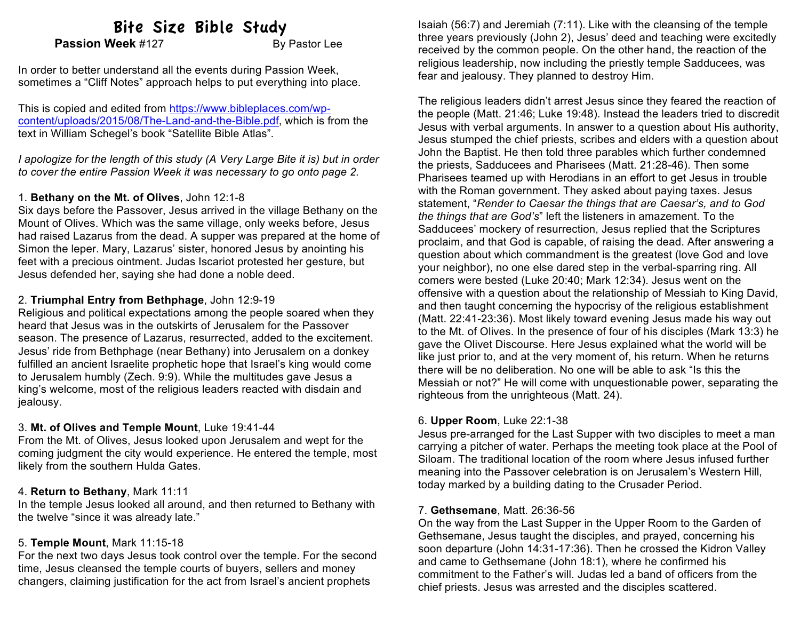# Bite Size Bible Study

**Passion Week** #127 By Pastor Lee

In order to better understand all the events during Passion Week, sometimes a "Cliff Notes" approach helps to put everything into place.

This is copied and edited from https://www.bibleplaces.com/wpcontent/uploads/2015/08/The-Land-and-the-Bible.pdf, which is from the text in William Schegel's book "Satellite Bible Atlas".

*I apologize for the length of this study (A Very Large Bite it is) but in order to cover the entire Passion Week it was necessary to go onto page 2.*

### 1. **Bethany on the Mt. of Olives**, John 12:1-8

Six days before the Passover, Jesus arrived in the village Bethany on the Mount of Olives. Which was the same village, only weeks before, Jesus had raised Lazarus from the dead. A supper was prepared at the home of Simon the leper. Mary, Lazarus' sister, honored Jesus by anointing his feet with a precious ointment. Judas Iscariot protested her gesture, but Jesus defended her, saying she had done a noble deed.

## 2. **Triumphal Entry from Bethphage**, John 12:9-19

Religious and political expectations among the people soared when they heard that Jesus was in the outskirts of Jerusalem for the Passover season. The presence of Lazarus, resurrected, added to the excitement. Jesus' ride from Bethphage (near Bethany) into Jerusalem on a donkey fulfilled an ancient Israelite prophetic hope that Israel's king would come to Jerusalem humbly (Zech. 9:9). While the multitudes gave Jesus a king's welcome, most of the religious leaders reacted with disdain and jealousy.

## 3. **Mt. of Olives and Temple Mount**, Luke 19:41-44

From the Mt. of Olives, Jesus looked upon Jerusalem and wept for the coming judgment the city would experience. He entered the temple, most likely from the southern Hulda Gates.

# 4. **Return to Bethany**, Mark 11:11

In the temple Jesus looked all around, and then returned to Bethany with the twelve "since it was already late."

# 5. **Temple Mount**, Mark 11:15-18

For the next two days Jesus took control over the temple. For the second time, Jesus cleansed the temple courts of buyers, sellers and money changers, claiming justification for the act from Israel's ancient prophets

Isaiah (56:7) and Jeremiah (7:11). Like with the cleansing of the temple three years previously (John 2), Jesus' deed and teaching were excitedly received by the common people. On the other hand, the reaction of the religious leadership, now including the priestly temple Sadducees, was fear and jealousy. They planned to destroy Him.

The religious leaders didn't arrest Jesus since they feared the reaction of the people (Matt. 21:46; Luke 19:48). Instead the leaders tried to discredit Jesus with verbal arguments. In answer to a question about His authority, Jesus stumped the chief priests, scribes and elders with a question about John the Baptist. He then told three parables which further condemned the priests, Sadducees and Pharisees (Matt. 21:28-46). Then some Pharisees teamed up with Herodians in an effort to get Jesus in trouble with the Roman government. They asked about paying taxes. Jesus statement, "*Render to Caesar the things that are Caesar's, and to God the things that are God's*" left the listeners in amazement. To the Sadducees' mockery of resurrection, Jesus replied that the Scriptures proclaim, and that God is capable, of raising the dead. After answering a question about which commandment is the greatest (love God and love your neighbor), no one else dared step in the verbal-sparring ring. All comers were bested (Luke 20:40; Mark 12:34). Jesus went on the offensive with a question about the relationship of Messiah to King David, and then taught concerning the hypocrisy of the religious establishment (Matt. 22:41-23:36). Most likely toward evening Jesus made his way out to the Mt. of Olives. In the presence of four of his disciples (Mark 13:3) he gave the Olivet Discourse. Here Jesus explained what the world will be like just prior to, and at the very moment of, his return. When he returns there will be no deliberation. No one will be able to ask "Is this the Messiah or not?" He will come with unquestionable power, separating the righteous from the unrighteous (Matt. 24).

# 6. **Upper Room**, Luke 22:1-38

Jesus pre-arranged for the Last Supper with two disciples to meet a man carrying a pitcher of water. Perhaps the meeting took place at the Pool of Siloam. The traditional location of the room where Jesus infused further meaning into the Passover celebration is on Jerusalem's Western Hill, today marked by a building dating to the Crusader Period.

# 7. **Gethsemane**, Matt. 26:36-56

On the way from the Last Supper in the Upper Room to the Garden of Gethsemane, Jesus taught the disciples, and prayed, concerning his soon departure (John 14:31-17:36). Then he crossed the Kidron Valley and came to Gethsemane (John 18:1), where he confirmed his commitment to the Father's will. Judas led a band of officers from the chief priests. Jesus was arrested and the disciples scattered.